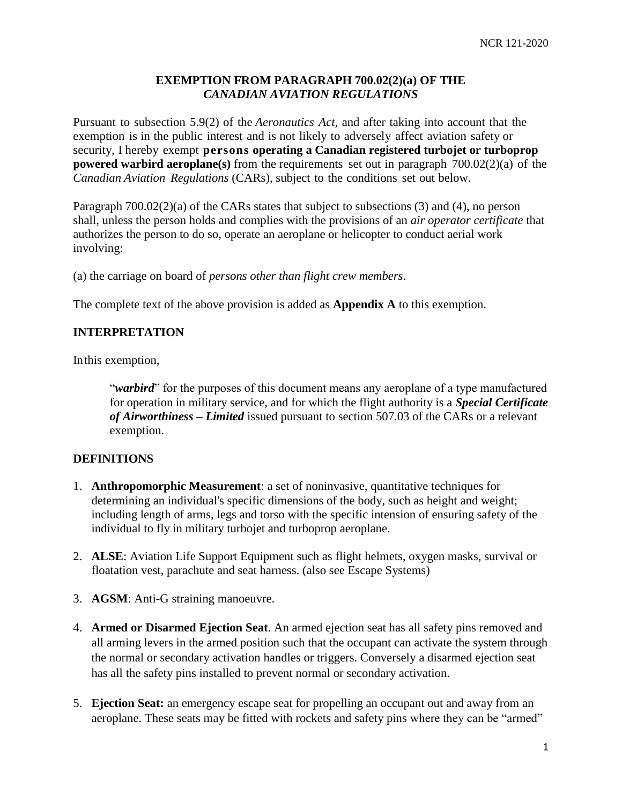### **EXEMPTION FROM PARAGRAPH 700.02(2)(a) OF THE**  *CANADIAN AVIATION REGULATIONS*

Pursuant to subsection 5.9(2) of the *Aeronautics Act,* and after taking into account that the exemption is in the public interest and is not likely to adversely affect aviation safety or security, I hereby exempt **persons operating a Canadian registered turbojet or turboprop powered warbird aeroplane(s)** from the requirements set out in paragraph 700.02(2)(a) of the *Canadian Aviation Regulations* (CARs), subject to the conditions set out below.

Paragraph 700.02(2)(a) of the CARs states that subject to subsections (3) and (4), no person shall, unless the person holds and complies with the provisions of an *air operator certificate* that authorizes the person to do so, operate an aeroplane or helicopter to conduct aerial work involving:

(a) the carriage on board of *persons other than flight crew members*.

The complete text of the above provision is added as **Appendix A** to this exemption.

### **INTERPRETATION**

Inthis exemption,

"*warbird*" for the purposes of this document means any aeroplane of a type manufactured for operation in military service, and for which the flight authority is a *Special Certificate of Airworthiness – Limited* issued pursuant to section 507.03 of the CARs or a relevant exemption.

#### **DEFINITIONS**

- 1. **Anthropomorphic Measurement**: a set of noninvasive, quantitative techniques for determining an individual's specific dimensions of the body, such as height and weight; including length of arms, legs and torso with the specific intension of ensuring safety of the individual to fly in military turbojet and turboprop aeroplane.
- 2. **ALSE**: Aviation Life Support Equipment such as flight helmets, oxygen masks, survival or floatation vest, parachute and seat harness. (also see Escape Systems)
- 3. **AGSM**: Anti-G straining manoeuvre.
- 4. **Armed or Disarmed Ejection Seat**. An armed ejection seat has all safety pins removed and all arming levers in the armed position such that the occupant can activate the system through the normal or secondary activation handles or triggers. Conversely a disarmed ejection seat has all the safety pins installed to prevent normal or secondary activation.
- 5. **Ejection Seat:** an emergency escape seat for propelling an occupant out and away from an aeroplane. These seats may be fitted with rockets and safety pins where they can be "armed"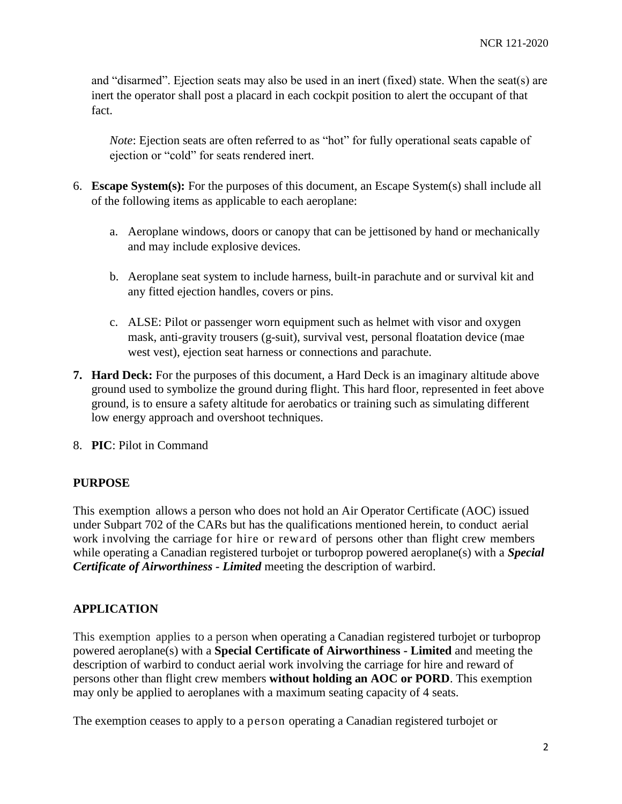and "disarmed". Ejection seats may also be used in an inert (fixed) state. When the seat(s) are inert the operator shall post a placard in each cockpit position to alert the occupant of that fact.

*Note*: Ejection seats are often referred to as "hot" for fully operational seats capable of ejection or "cold" for seats rendered inert.

- 6. **Escape System(s):** For the purposes of this document, an Escape System(s) shall include all of the following items as applicable to each aeroplane:
	- a. Aeroplane windows, doors or canopy that can be jettisoned by hand or mechanically and may include explosive devices.
	- b. Aeroplane seat system to include harness, built-in parachute and or survival kit and any fitted ejection handles, covers or pins.
	- c. ALSE: Pilot or passenger worn equipment such as helmet with visor and oxygen mask, anti-gravity trousers (g-suit), survival vest, personal floatation device (mae west vest), ejection seat harness or connections and parachute.
- **7. Hard Deck:** For the purposes of this document, a Hard Deck is an imaginary altitude above ground used to symbolize the ground during flight. This hard floor, represented in feet above ground, is to ensure a safety altitude for aerobatics or training such as simulating different low energy approach and overshoot techniques.
- 8. **PIC**: Pilot in Command

### **PURPOSE**

This exemption allows a person who does not hold an Air Operator Certificate (AOC) issued under Subpart 702 of the CARs but has the qualifications mentioned herein, to conduct aerial work involving the carriage for hire or reward of persons other than flight crew members while operating a Canadian registered turbojet or turboprop powered aeroplane(s) with a *Special Certificate of Airworthiness - Limited* meeting the description of warbird.

### **APPLICATION**

This exemption applies to a person when operating a Canadian registered turbojet or turboprop powered aeroplane(s) with a **Special Certificate of Airworthiness - Limited** and meeting the description of warbird to conduct aerial work involving the carriage for hire and reward of persons other than flight crew members **without holding an AOC or PORD**. This exemption may only be applied to aeroplanes with a maximum seating capacity of 4 seats.

The exemption ceases to apply to a person operating a Canadian registered turbojet or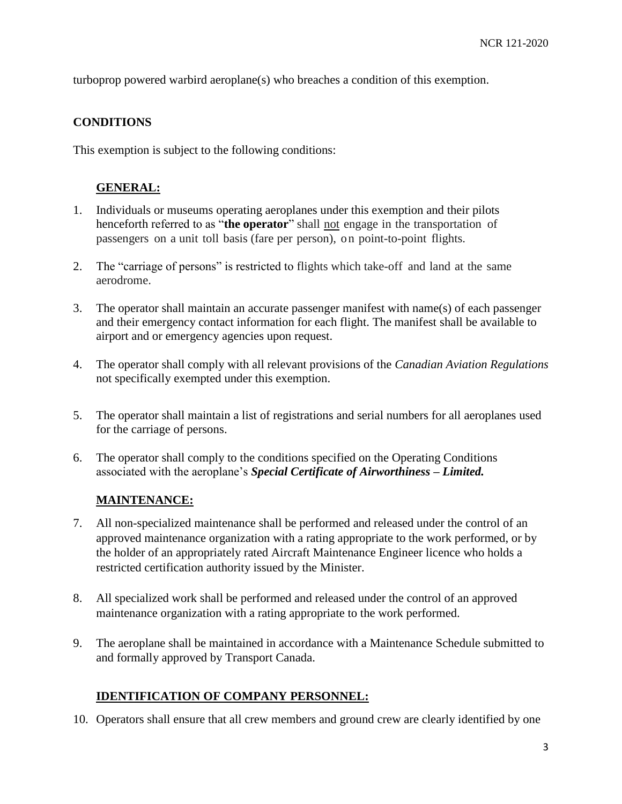turboprop powered warbird aeroplane(s) who breaches a condition of this exemption.

### **CONDITIONS**

This exemption is subject to the following conditions:

## **GENERAL:**

- 1. Individuals or museums operating aeroplanes under this exemption and their pilots henceforth referred to as "**the operator**" shall not engage in the transportation of passengers on a unit toll basis (fare per person), on point-to-point flights.
- 2. The "carriage of persons" is restricted to flights which take-off and land at the same aerodrome.
- 3. The operator shall maintain an accurate passenger manifest with name(s) of each passenger and their emergency contact information for each flight. The manifest shall be available to airport and or emergency agencies upon request.
- 4. The operator shall comply with all relevant provisions of the *Canadian Aviation Regulations* not specifically exempted under this exemption.
- 5. The operator shall maintain a list of registrations and serial numbers for all aeroplanes used for the carriage of persons.
- 6. The operator shall comply to the conditions specified on the Operating Conditions associated with the aeroplane's *Special Certificate of Airworthiness – Limited.*

#### **MAINTENANCE:**

- 7. All non-specialized maintenance shall be performed and released under the control of an approved maintenance organization with a rating appropriate to the work performed, or by the holder of an appropriately rated Aircraft Maintenance Engineer licence who holds a restricted certification authority issued by the Minister.
- 8. All specialized work shall be performed and released under the control of an approved maintenance organization with a rating appropriate to the work performed.
- 9. The aeroplane shall be maintained in accordance with a Maintenance Schedule submitted to and formally approved by Transport Canada.

### **IDENTIFICATION OF COMPANY PERSONNEL:**

10. Operators shall ensure that all crew members and ground crew are clearly identified by one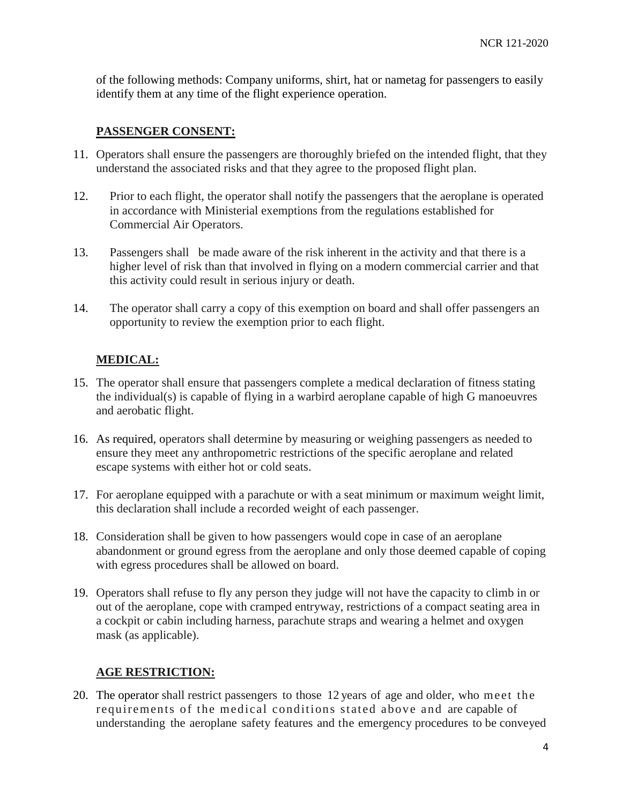of the following methods: Company uniforms, shirt, hat or nametag for passengers to easily identify them at any time of the flight experience operation.

#### **PASSENGER CONSENT:**

- 11. Operators shall ensure the passengers are thoroughly briefed on the intended flight, that they understand the associated risks and that they agree to the proposed flight plan.
- 12. Prior to each flight, the operator shall notify the passengers that the aeroplane is operated in accordance with Ministerial exemptions from the regulations established for Commercial Air Operators.
- 13. Passengers shall be made aware of the risk inherent in the activity and that there is a higher level of risk than that involved in flying on a modern commercial carrier and that this activity could result in serious injury or death.
- 14. The operator shall carry a copy of this exemption on board and shall offer passengers an opportunity to review the exemption prior to each flight.

## **MEDICAL:**

- 15. The operator shall ensure that passengers complete a medical declaration of fitness stating the individual(s) is capable of flying in a warbird aeroplane capable of high G manoeuvres and aerobatic flight.
- 16. As required, operators shall determine by measuring or weighing passengers as needed to ensure they meet any anthropometric restrictions of the specific aeroplane and related escape systems with either hot or cold seats.
- 17. For aeroplane equipped with a parachute or with a seat minimum or maximum weight limit, this declaration shall include a recorded weight of each passenger.
- 18. Consideration shall be given to how passengers would cope in case of an aeroplane abandonment or ground egress from the aeroplane and only those deemed capable of coping with egress procedures shall be allowed on board.
- 19. Operators shall refuse to fly any person they judge will not have the capacity to climb in or out of the aeroplane, cope with cramped entryway, restrictions of a compact seating area in a cockpit or cabin including harness, parachute straps and wearing a helmet and oxygen mask (as applicable).

### **AGE RESTRICTION:**

20. The operator shall restrict passengers to those 12 years of age and older, who meet the requirements of the medical conditions stated above and are capable of understanding the aeroplane safety features and the emergency procedures to be conveyed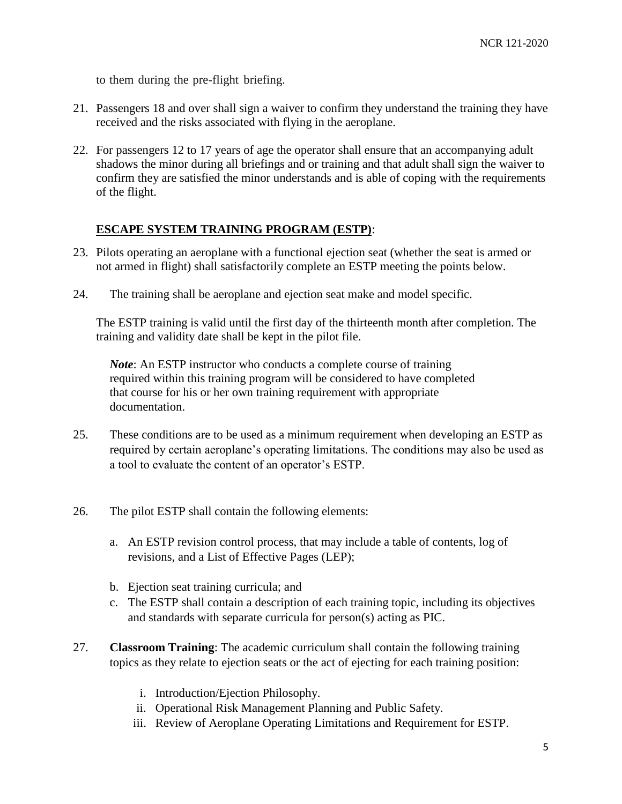to them during the pre-flight briefing.

- 21. Passengers 18 and over shall sign a waiver to confirm they understand the training they have received and the risks associated with flying in the aeroplane.
- 22. For passengers 12 to 17 years of age the operator shall ensure that an accompanying adult shadows the minor during all briefings and or training and that adult shall sign the waiver to confirm they are satisfied the minor understands and is able of coping with the requirements of the flight.

### **ESCAPE SYSTEM TRAINING PROGRAM (ESTP)**:

- 23. Pilots operating an aeroplane with a functional ejection seat (whether the seat is armed or not armed in flight) shall satisfactorily complete an ESTP meeting the points below.
- 24. The training shall be aeroplane and ejection seat make and model specific.

The ESTP training is valid until the first day of the thirteenth month after completion. The training and validity date shall be kept in the pilot file.

*Note*: An ESTP instructor who conducts a complete course of training required within this training program will be considered to have completed that course for his or her own training requirement with appropriate documentation.

- 25. These conditions are to be used as a minimum requirement when developing an ESTP as required by certain aeroplane's operating limitations. The conditions may also be used as a tool to evaluate the content of an operator's ESTP.
- 26. The pilot ESTP shall contain the following elements:
	- a. An ESTP revision control process, that may include a table of contents, log of revisions, and a List of Effective Pages (LEP);
	- b. Ejection seat training curricula; and
	- c. The ESTP shall contain a description of each training topic, including its objectives and standards with separate curricula for person(s) acting as PIC.
- 27. **Classroom Training**: The academic curriculum shall contain the following training topics as they relate to ejection seats or the act of ejecting for each training position:
	- i. Introduction/Ejection Philosophy.
	- ii. Operational Risk Management Planning and Public Safety.
	- iii. Review of Aeroplane Operating Limitations and Requirement for ESTP.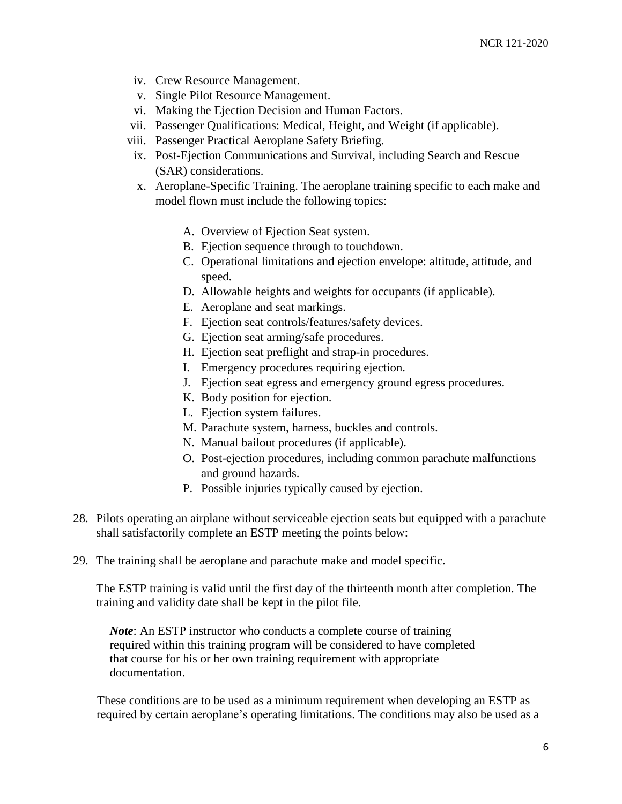- iv. Crew Resource Management.
- v. Single Pilot Resource Management.
- vi. Making the Ejection Decision and Human Factors.
- vii. Passenger Qualifications: Medical, Height, and Weight (if applicable).
- viii. Passenger Practical Aeroplane Safety Briefing.
- ix. Post-Ejection Communications and Survival, including Search and Rescue (SAR) considerations.
- x. Aeroplane-Specific Training. The aeroplane training specific to each make and model flown must include the following topics:
	- A. Overview of Ejection Seat system.
	- B. Ejection sequence through to touchdown.
	- C. Operational limitations and ejection envelope: altitude, attitude, and speed.
	- D. Allowable heights and weights for occupants (if applicable).
	- E. Aeroplane and seat markings.
	- F. Ejection seat controls/features/safety devices.
	- G. Ejection seat arming/safe procedures.
	- H. Ejection seat preflight and strap-in procedures.
	- I. Emergency procedures requiring ejection.
	- J. Ejection seat egress and emergency ground egress procedures.
	- K. Body position for ejection.
	- L. Ejection system failures.
	- M. Parachute system, harness, buckles and controls.
	- N. Manual bailout procedures (if applicable).
	- O. Post-ejection procedures, including common parachute malfunctions and ground hazards.
	- P. Possible injuries typically caused by ejection.
- 28. Pilots operating an airplane without serviceable ejection seats but equipped with a parachute shall satisfactorily complete an ESTP meeting the points below:
- 29. The training shall be aeroplane and parachute make and model specific.

The ESTP training is valid until the first day of the thirteenth month after completion. The training and validity date shall be kept in the pilot file.

*Note*: An ESTP instructor who conducts a complete course of training required within this training program will be considered to have completed that course for his or her own training requirement with appropriate documentation.

These conditions are to be used as a minimum requirement when developing an ESTP as required by certain aeroplane's operating limitations. The conditions may also be used as a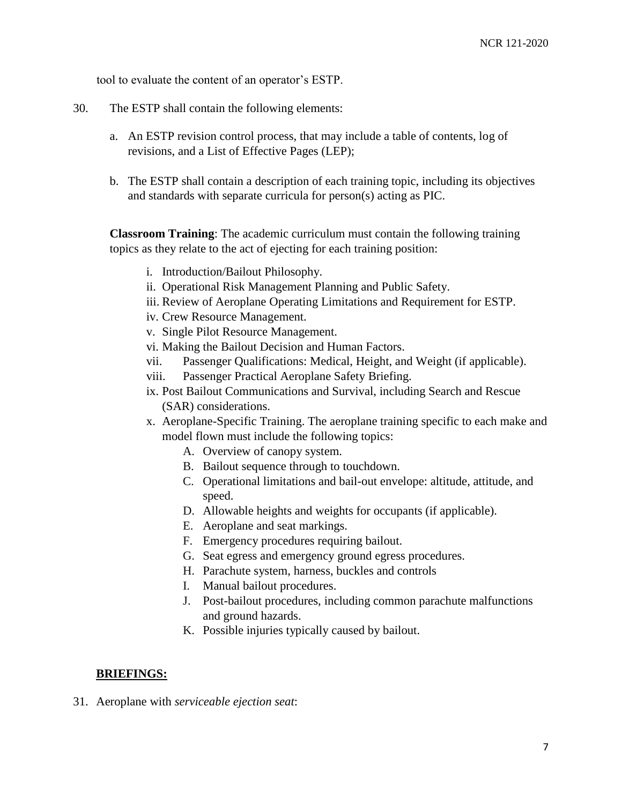tool to evaluate the content of an operator's ESTP.

- 30. The ESTP shall contain the following elements:
	- a. An ESTP revision control process, that may include a table of contents, log of revisions, and a List of Effective Pages (LEP);
	- b. The ESTP shall contain a description of each training topic, including its objectives and standards with separate curricula for person(s) acting as PIC.

**Classroom Training**: The academic curriculum must contain the following training topics as they relate to the act of ejecting for each training position:

- i. Introduction/Bailout Philosophy.
- ii. Operational Risk Management Planning and Public Safety.
- iii. Review of Aeroplane Operating Limitations and Requirement for ESTP.
- iv. Crew Resource Management.
- v. Single Pilot Resource Management.
- vi. Making the Bailout Decision and Human Factors.
- vii. Passenger Qualifications: Medical, Height, and Weight (if applicable).
- viii. Passenger Practical Aeroplane Safety Briefing.
- ix. Post Bailout Communications and Survival, including Search and Rescue (SAR) considerations.
- x. Aeroplane-Specific Training. The aeroplane training specific to each make and model flown must include the following topics:
	- A. Overview of canopy system.
	- B. Bailout sequence through to touchdown.
	- C. Operational limitations and bail-out envelope: altitude, attitude, and speed.
	- D. Allowable heights and weights for occupants (if applicable).
	- E. Aeroplane and seat markings.
	- F. Emergency procedures requiring bailout.
	- G. Seat egress and emergency ground egress procedures.
	- H. Parachute system, harness, buckles and controls
	- I. Manual bailout procedures.
	- J. Post-bailout procedures, including common parachute malfunctions and ground hazards.
	- K. Possible injuries typically caused by bailout.

#### **BRIEFINGS:**

31. Aeroplane with *serviceable ejection seat*: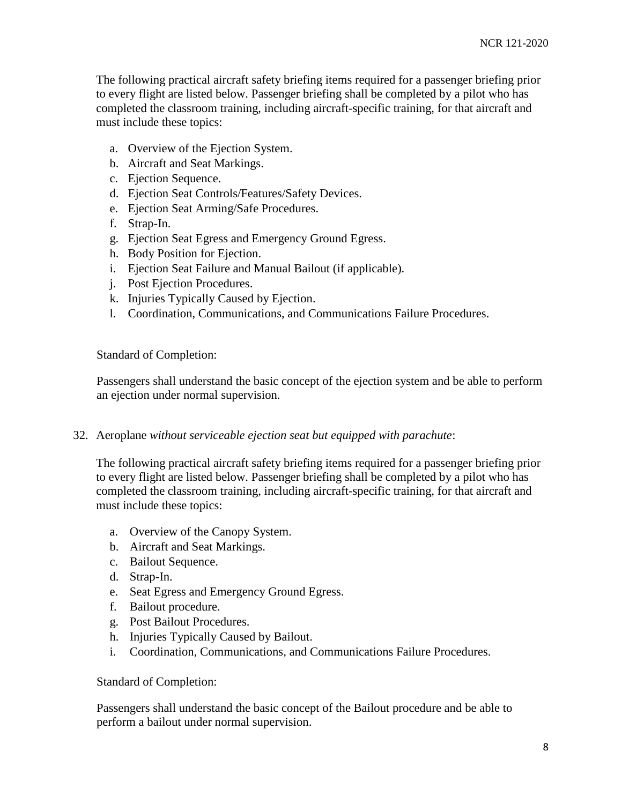The following practical aircraft safety briefing items required for a passenger briefing prior to every flight are listed below. Passenger briefing shall be completed by a pilot who has completed the classroom training, including aircraft-specific training, for that aircraft and must include these topics:

- a. Overview of the Ejection System.
- b. Aircraft and Seat Markings.
- c. Ejection Sequence.
- d. Ejection Seat Controls/Features/Safety Devices.
- e. Ejection Seat Arming/Safe Procedures.
- f. Strap-In.
- g. Ejection Seat Egress and Emergency Ground Egress.
- h. Body Position for Ejection.
- i. Ejection Seat Failure and Manual Bailout (if applicable).
- j. Post Ejection Procedures.
- k. Injuries Typically Caused by Ejection.
- l. Coordination, Communications, and Communications Failure Procedures.

Standard of Completion:

Passengers shall understand the basic concept of the ejection system and be able to perform an ejection under normal supervision.

#### 32. Aeroplane *without serviceable ejection seat but equipped with parachute*:

The following practical aircraft safety briefing items required for a passenger briefing prior to every flight are listed below. Passenger briefing shall be completed by a pilot who has completed the classroom training, including aircraft-specific training, for that aircraft and must include these topics:

- a. Overview of the Canopy System.
- b. Aircraft and Seat Markings.
- c. Bailout Sequence.
- d. Strap-In.
- e. Seat Egress and Emergency Ground Egress.
- f. Bailout procedure.
- g. Post Bailout Procedures.
- h. Injuries Typically Caused by Bailout.
- i. Coordination, Communications, and Communications Failure Procedures.

Standard of Completion:

Passengers shall understand the basic concept of the Bailout procedure and be able to perform a bailout under normal supervision.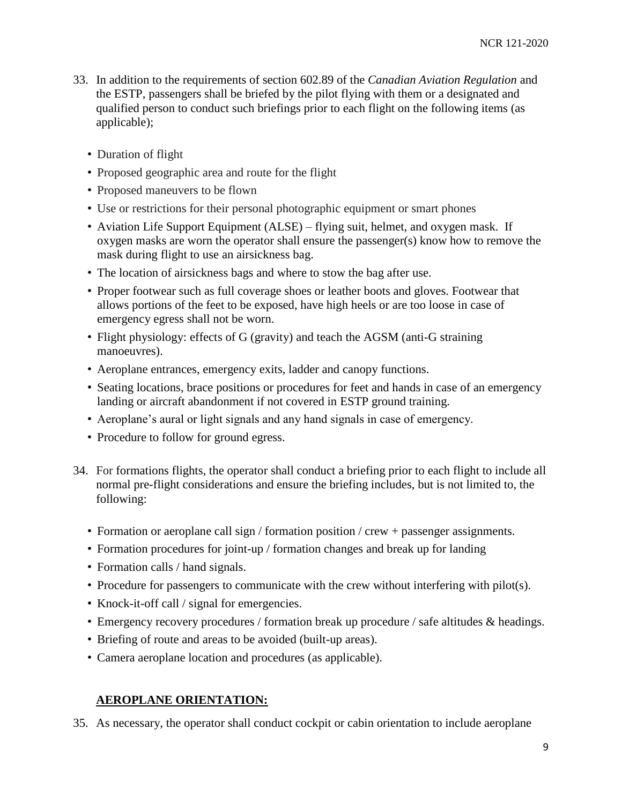- 33. In addition to the requirements of section 602.89 of the *Canadian Aviation Regulation* and the ESTP, passengers shall be briefed by the pilot flying with them or a designated and qualified person to conduct such briefings prior to each flight on the following items (as applicable);
	- Duration of flight
	- Proposed geographic area and route for the flight
	- Proposed maneuvers to be flown
	- Use or restrictions for their personal photographic equipment or smart phones
	- Aviation Life Support Equipment (ALSE) flying suit, helmet, and oxygen mask. If oxygen masks are worn the operator shall ensure the passenger(s) know how to remove the mask during flight to use an airsickness bag.
	- The location of airsickness bags and where to stow the bag after use.
	- Proper footwear such as full coverage shoes or leather boots and gloves. Footwear that allows portions of the feet to be exposed, have high heels or are too loose in case of emergency egress shall not be worn.
	- Flight physiology: effects of G (gravity) and teach the AGSM (anti-G straining manoeuvres).
	- Aeroplane entrances, emergency exits, ladder and canopy functions.
	- Seating locations, brace positions or procedures for feet and hands in case of an emergency landing or aircraft abandonment if not covered in ESTP ground training.
	- Aeroplane's aural or light signals and any hand signals in case of emergency.
	- Procedure to follow for ground egress.
- 34. For formations flights, the operator shall conduct a briefing prior to each flight to include all normal pre-flight considerations and ensure the briefing includes, but is not limited to, the following:
	- Formation or aeroplane call sign / formation position / crew + passenger assignments.
	- Formation procedures for joint-up / formation changes and break up for landing
	- Formation calls / hand signals.
	- Procedure for passengers to communicate with the crew without interfering with pilot(s).
	- Knock-it-off call / signal for emergencies.
	- Emergency recovery procedures / formation break up procedure / safe altitudes & headings.
	- Briefing of route and areas to be avoided (built-up areas).
	- Camera aeroplane location and procedures (as applicable).

### **AEROPLANE ORIENTATION:**

35. As necessary, the operator shall conduct cockpit or cabin orientation to include aeroplane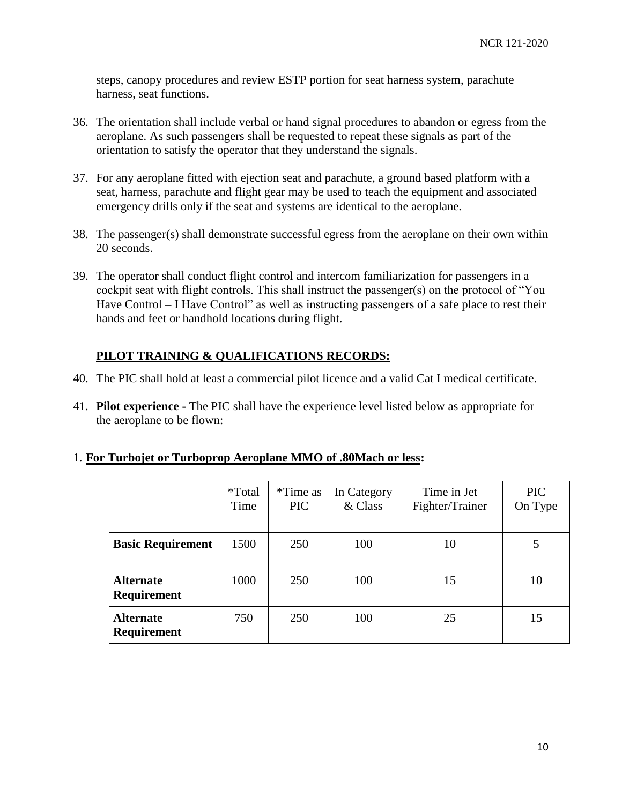steps, canopy procedures and review ESTP portion for seat harness system, parachute harness, seat functions.

- 36. The orientation shall include verbal or hand signal procedures to abandon or egress from the aeroplane. As such passengers shall be requested to repeat these signals as part of the orientation to satisfy the operator that they understand the signals.
- 37. For any aeroplane fitted with ejection seat and parachute, a ground based platform with a seat, harness, parachute and flight gear may be used to teach the equipment and associated emergency drills only if the seat and systems are identical to the aeroplane.
- 38. The passenger(s) shall demonstrate successful egress from the aeroplane on their own within 20 seconds.
- 39. The operator shall conduct flight control and intercom familiarization for passengers in a cockpit seat with flight controls. This shall instruct the passenger(s) on the protocol of "You Have Control – I Have Control" as well as instructing passengers of a safe place to rest their hands and feet or handhold locations during flight.

## **PILOT TRAINING & QUALIFICATIONS RECORDS:**

- 40. The PIC shall hold at least a commercial pilot licence and a valid Cat I medical certificate.
- 41. **Pilot experience -** The PIC shall have the experience level listed below as appropriate for the aeroplane to be flown:

|  |  | 1. For Turbojet or Turboprop Aeroplane MMO of .80Mach or less: |  |  |  |  |
|--|--|----------------------------------------------------------------|--|--|--|--|
|  |  |                                                                |  |  |  |  |

|                                        | <i>*</i> Total<br>Time | *Time as<br><b>PIC</b> | In Category<br>& Class | Time in Jet<br>Fighter/Trainer | PIC<br>On Type |
|----------------------------------------|------------------------|------------------------|------------------------|--------------------------------|----------------|
| <b>Basic Requirement</b>               | 1500                   | 250                    | 100                    | 10                             |                |
| <b>Alternate</b><br><b>Requirement</b> | 1000                   | 250                    | 100                    | 15                             | 10             |
| <b>Alternate</b><br>Requirement        | 750                    | 250                    | 100                    | 25                             | 15             |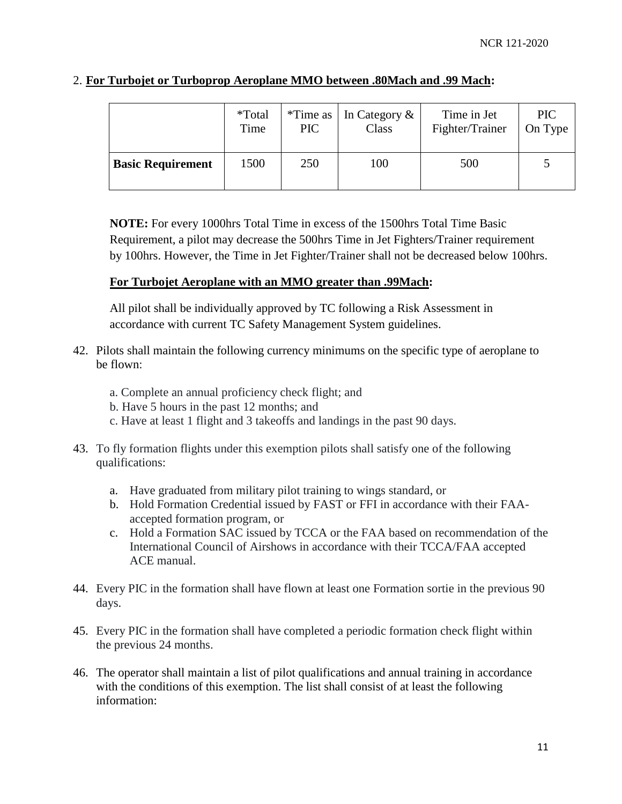|                          | <i>*</i> Total<br>Time | PIC | <i>*</i> Time as $ $ In Category $\&$<br>Class | Time in Jet<br>Fighter/Trainer | <b>PIC</b><br>On Type |
|--------------------------|------------------------|-----|------------------------------------------------|--------------------------------|-----------------------|
| <b>Basic Requirement</b> | 1500                   | 250 | 100                                            | 500                            |                       |

### 2. **For Turbojet or Turboprop Aeroplane MMO between .80Mach and .99 Mach:**

**NOTE:** For every 1000hrs Total Time in excess of the 1500hrs Total Time Basic Requirement, a pilot may decrease the 500hrs Time in Jet Fighters/Trainer requirement by 100hrs. However, the Time in Jet Fighter/Trainer shall not be decreased below 100hrs.

### **For Turbojet Aeroplane with an MMO greater than .99Mach:**

All pilot shall be individually approved by TC following a Risk Assessment in accordance with current TC Safety Management System guidelines.

- 42. Pilots shall maintain the following currency minimums on the specific type of aeroplane to be flown:
	- a. Complete an annual proficiency check flight; and
	- b. Have 5 hours in the past 12 months; and
	- c. Have at least 1 flight and 3 takeoffs and landings in the past 90 days.
- 43. To fly formation flights under this exemption pilots shall satisfy one of the following qualifications:
	- a. Have graduated from military pilot training to wings standard, or
	- b. Hold Formation Credential issued by FAST or FFI in accordance with their FAAaccepted formation program, or
	- c. Hold a Formation SAC issued by TCCA or the FAA based on recommendation of the International Council of Airshows in accordance with their TCCA/FAA accepted ACE manual.
- 44. Every PIC in the formation shall have flown at least one Formation sortie in the previous 90 days.
- 45. Every PIC in the formation shall have completed a periodic formation check flight within the previous 24 months.
- 46. The operator shall maintain a list of pilot qualifications and annual training in accordance with the conditions of this exemption. The list shall consist of at least the following information: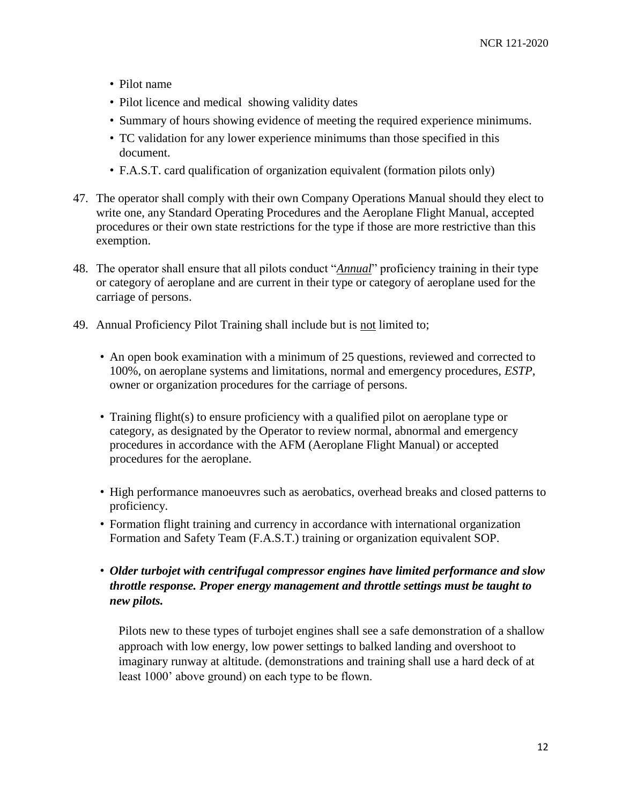- Pilot name
- Pilot licence and medical showing validity dates
- Summary of hours showing evidence of meeting the required experience minimums.
- TC validation for any lower experience minimums than those specified in this document.
- F.A.S.T. card qualification of organization equivalent (formation pilots only)
- 47. The operator shall comply with their own Company Operations Manual should they elect to write one, any Standard Operating Procedures and the Aeroplane Flight Manual, accepted procedures or their own state restrictions for the type if those are more restrictive than this exemption.
- 48. The operator shall ensure that all pilots conduct "*Annual*" proficiency training in their type or category of aeroplane and are current in their type or category of aeroplane used for the carriage of persons.
- 49. Annual Proficiency Pilot Training shall include but is not limited to;
	- An open book examination with a minimum of 25 questions, reviewed and corrected to 100%, on aeroplane systems and limitations, normal and emergency procedures, *ESTP*, owner or organization procedures for the carriage of persons.
	- Training flight(s) to ensure proficiency with a qualified pilot on aeroplane type or category, as designated by the Operator to review normal, abnormal and emergency procedures in accordance with the AFM (Aeroplane Flight Manual) or accepted procedures for the aeroplane.
	- High performance manoeuvres such as aerobatics, overhead breaks and closed patterns to proficiency.
	- Formation flight training and currency in accordance with international organization Formation and Safety Team (F.A.S.T.) training or organization equivalent SOP.
	- *Older turbojet with centrifugal compressor engines have limited performance and slow throttle response. Proper energy management and throttle settings must be taught to new pilots.*

Pilots new to these types of turbojet engines shall see a safe demonstration of a shallow approach with low energy, low power settings to balked landing and overshoot to imaginary runway at altitude. (demonstrations and training shall use a hard deck of at least 1000' above ground) on each type to be flown.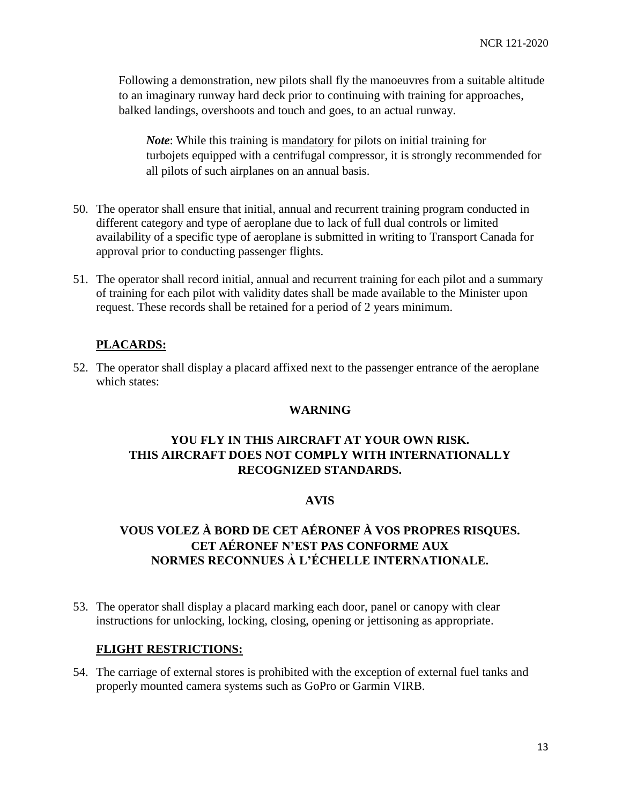Following a demonstration, new pilots shall fly the manoeuvres from a suitable altitude to an imaginary runway hard deck prior to continuing with training for approaches, balked landings, overshoots and touch and goes, to an actual runway.

*Note*: While this training is mandatory for pilots on initial training for turbojets equipped with a centrifugal compressor, it is strongly recommended for all pilots of such airplanes on an annual basis.

- 50. The operator shall ensure that initial, annual and recurrent training program conducted in different category and type of aeroplane due to lack of full dual controls or limited availability of a specific type of aeroplane is submitted in writing to Transport Canada for approval prior to conducting passenger flights.
- 51. The operator shall record initial, annual and recurrent training for each pilot and a summary of training for each pilot with validity dates shall be made available to the Minister upon request. These records shall be retained for a period of 2 years minimum.

### **PLACARDS:**

52. The operator shall display a placard affixed next to the passenger entrance of the aeroplane which states:

#### **WARNING**

## **YOU FLY IN THIS AIRCRAFT AT YOUR OWN RISK. THIS AIRCRAFT DOES NOT COMPLY WITH INTERNATIONALLY RECOGNIZED STANDARDS.**

#### **AVIS**

# **VOUS VOLEZ À BORD DE CET AÉRONEF À VOS PROPRES RISQUES. CET AÉRONEF N'EST PAS CONFORME AUX NORMES RECONNUES À L'ÉCHELLE INTERNATIONALE.**

53. The operator shall display a placard marking each door, panel or canopy with clear instructions for unlocking, locking, closing, opening or jettisoning as appropriate.

#### **FLIGHT RESTRICTIONS:**

54. The carriage of external stores is prohibited with the exception of external fuel tanks and properly mounted camera systems such as GoPro or Garmin VIRB.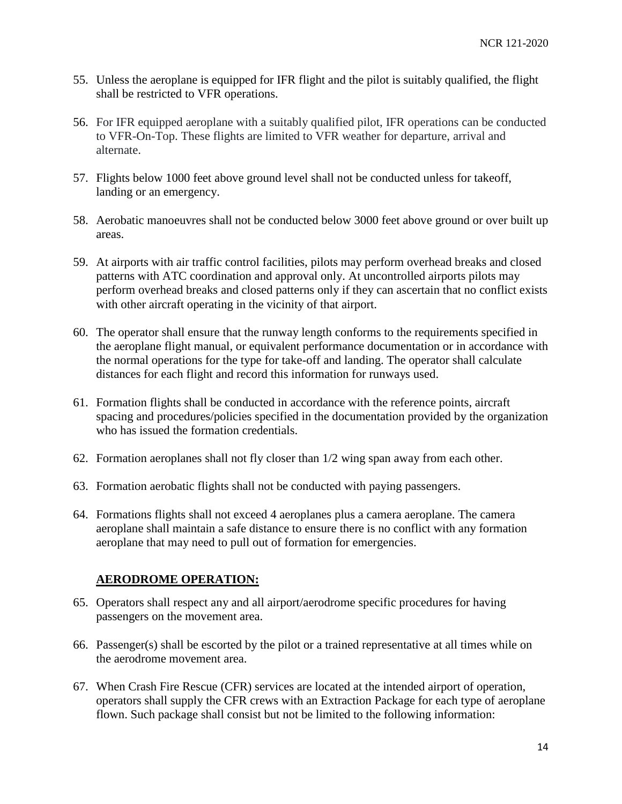- 55. Unless the aeroplane is equipped for IFR flight and the pilot is suitably qualified, the flight shall be restricted to VFR operations.
- 56. For IFR equipped aeroplane with a suitably qualified pilot, IFR operations can be conducted to VFR-On-Top. These flights are limited to VFR weather for departure, arrival and alternate.
- 57. Flights below 1000 feet above ground level shall not be conducted unless for takeoff, landing or an emergency.
- 58. Aerobatic manoeuvres shall not be conducted below 3000 feet above ground or over built up areas.
- 59. At airports with air traffic control facilities, pilots may perform overhead breaks and closed patterns with ATC coordination and approval only. At uncontrolled airports pilots may perform overhead breaks and closed patterns only if they can ascertain that no conflict exists with other aircraft operating in the vicinity of that airport.
- 60. The operator shall ensure that the runway length conforms to the requirements specified in the aeroplane flight manual, or equivalent performance documentation or in accordance with the normal operations for the type for take-off and landing. The operator shall calculate distances for each flight and record this information for runways used.
- 61. Formation flights shall be conducted in accordance with the reference points, aircraft spacing and procedures/policies specified in the documentation provided by the organization who has issued the formation credentials.
- 62. Formation aeroplanes shall not fly closer than 1/2 wing span away from each other.
- 63. Formation aerobatic flights shall not be conducted with paying passengers.
- 64. Formations flights shall not exceed 4 aeroplanes plus a camera aeroplane. The camera aeroplane shall maintain a safe distance to ensure there is no conflict with any formation aeroplane that may need to pull out of formation for emergencies.

#### **AERODROME OPERATION:**

- 65. Operators shall respect any and all airport/aerodrome specific procedures for having passengers on the movement area.
- 66. Passenger(s) shall be escorted by the pilot or a trained representative at all times while on the aerodrome movement area.
- 67. When Crash Fire Rescue (CFR) services are located at the intended airport of operation, operators shall supply the CFR crews with an Extraction Package for each type of aeroplane flown. Such package shall consist but not be limited to the following information: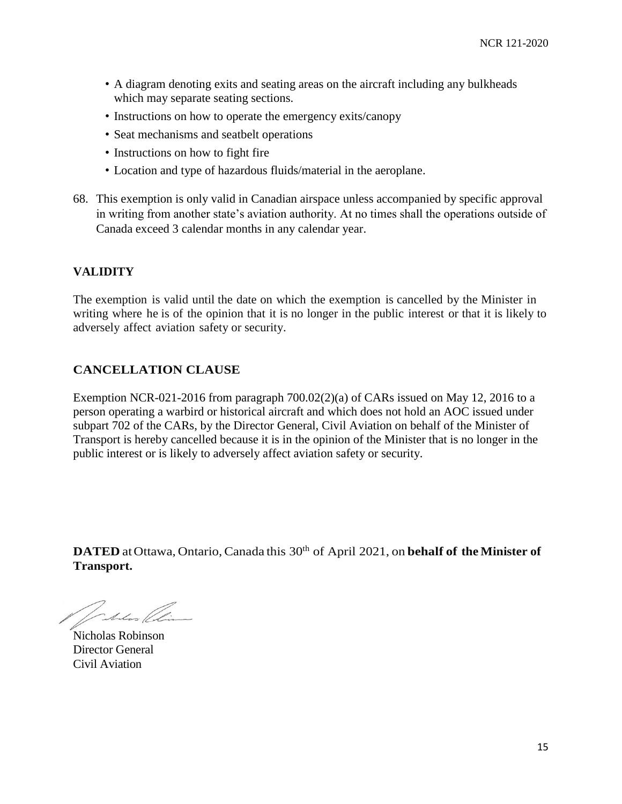- A diagram denoting exits and seating areas on the aircraft including any bulkheads which may separate seating sections.
- Instructions on how to operate the emergency exits/canopy
- Seat mechanisms and seatbelt operations
- Instructions on how to fight fire
- Location and type of hazardous fluids/material in the aeroplane.
- 68. This exemption is only valid in Canadian airspace unless accompanied by specific approval in writing from another state's aviation authority. At no times shall the operations outside of Canada exceed 3 calendar months in any calendar year.

### **VALIDITY**

The exemption is valid until the date on which the exemption is cancelled by the Minister in writing where he is of the opinion that it is no longer in the public interest or that it is likely to adversely affect aviation safety or security.

### **CANCELLATION CLAUSE**

Exemption NCR-021-2016 from paragraph 700.02(2)(a) of CARs issued on May 12, 2016 to a person operating a warbird or historical aircraft and which does not hold an AOC issued under subpart 702 of the CARs, by the Director General, Civil Aviation on behalf of the Minister of Transport is hereby cancelled because it is in the opinion of the Minister that is no longer in the public interest or is likely to adversely affect aviation safety or security.

**DATED** atOttawa, Ontario,Canada this 30 th of April 2021, on **behalf of the Minister of Transport.**

Jaka Clin

Nicholas Robinson Director General Civil Aviation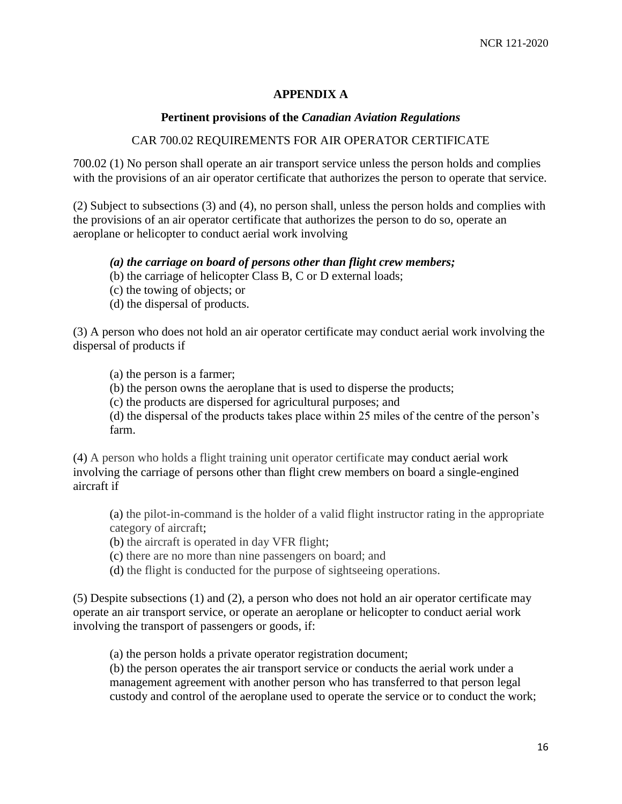### **APPENDIX A**

#### **Pertinent provisions of the** *Canadian Aviation Regulations*

#### CAR 700.02 REQUIREMENTS FOR AIR OPERATOR CERTIFICATE

700.02 (1) No person shall operate an air transport service unless the person holds and complies with the provisions of an air operator certificate that authorizes the person to operate that service.

(2) Subject to subsections (3) and (4), no person shall, unless the person holds and complies with the provisions of an air operator certificate that authorizes the person to do so, operate an aeroplane or helicopter to conduct aerial work involving

#### *(a) the carriage on board of persons other than flight crew members;*

- (b) the carriage of helicopter Class B, C or D external loads;
- (c) the towing of objects; or
- (d) the dispersal of products.

(3) A person who does not hold an air operator certificate may conduct aerial work involving the dispersal of products if

(a) the person is a farmer;

(b) the person owns the aeroplane that is used to disperse the products;

(c) the products are dispersed for agricultural purposes; and

(d) the dispersal of the products takes place within 25 miles of the centre of the person's farm.

(4) A person who holds a flight training unit operator certificate may conduct aerial work involving the carriage of persons other than flight crew members on board a single-engined aircraft if

(a) the pilot-in-command is the holder of a valid flight instructor rating in the appropriate category of aircraft;

(b) the aircraft is operated in day VFR flight;

(c) there are no more than nine passengers on board; and

(d) the flight is conducted for the purpose of sightseeing operations.

(5) Despite subsections (1) and (2), a person who does not hold an air operator certificate may operate an air transport service, or operate an aeroplane or helicopter to conduct aerial work involving the transport of passengers or goods, if:

(a) the person holds a private operator registration document;

(b) the person operates the air transport service or conducts the aerial work under a management agreement with another person who has transferred to that person legal custody and control of the aeroplane used to operate the service or to conduct the work;